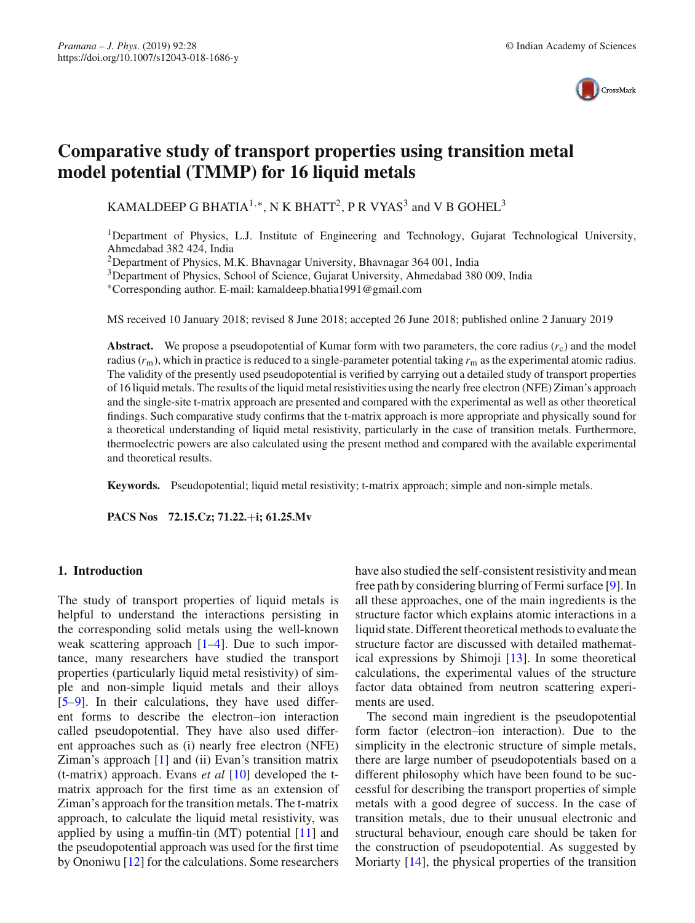

# **Comparative study of transport properties using transition metal model potential (TMMP) for 16 liquid metals**

KAMALDEEP G BHATIA<sup>1,\*</sup>, N K BHATT<sup>2</sup>, P R VYAS<sup>3</sup> and V B GOHEL<sup>3</sup>

1Department of Physics, L.J. Institute of Engineering and Technology, Gujarat Technological University, Ahmedabad 382 424, India

2Department of Physics, M.K. Bhavnagar University, Bhavnagar 364 001, India

3Department of Physics, School of Science, Gujarat University, Ahmedabad 380 009, India

∗Corresponding author. E-mail: kamaldeep.bhatia1991@gmail.com

MS received 10 January 2018; revised 8 June 2018; accepted 26 June 2018; published online 2 January 2019

**Abstract.** We propose a pseudopotential of Kumar form with two parameters, the core radius  $(r_c)$  and the model radius (*r*m), which in practice is reduced to a single-parameter potential taking *r*<sup>m</sup> as the experimental atomic radius. The validity of the presently used pseudopotential is verified by carrying out a detailed study of transport properties of 16 liquid metals. The results of the liquid metal resistivities using the nearly free electron (NFE) Ziman's approach and the single-site t-matrix approach are presented and compared with the experimental as well as other theoretical findings. Such comparative study confirms that the t-matrix approach is more appropriate and physically sound for a theoretical understanding of liquid metal resistivity, particularly in the case of transition metals. Furthermore, thermoelectric powers are also calculated using the present method and compared with the available experimental and theoretical results.

**Keywords.** Pseudopotential; liquid metal resistivity; t-matrix approach; simple and non-simple metals.

**PACS Nos 72.15.Cz; 71.22.**+**i; 61.25.Mv**

## **1. Introduction**

The study of transport properties of liquid metals is helpful to understand the interactions persisting in the corresponding solid metals using the well-known weak scattering approach  $[1-4]$  $[1-4]$ . Due to such importance, many researchers have studied the transport properties (particularly liquid metal resistivity) of simple and non-simple liquid metals and their alloys [\[5](#page-6-2)[–9\]](#page-6-3). In their calculations, they have used different forms to describe the electron–ion interaction called pseudopotential. They have also used different approaches such as (i) nearly free electron (NFE) Ziman's approach [\[1](#page-6-0)] and (ii) Evan's transition matrix (t-matrix) approach. Evans *et al* [\[10](#page-6-4)] developed the tmatrix approach for the first time as an extension of Ziman's approach for the transition metals. The t-matrix approach, to calculate the liquid metal resistivity, was applied by using a muffin-tin  $(MT)$  potential  $[11]$  $[11]$  and the pseudopotential approach was used for the first time by Ononiwu [\[12](#page-6-6)] for the calculations. Some researchers have also studied the self-consistent resistivity and mean free path by considering blurring of Fermi surface [\[9](#page-6-3)]. In all these approaches, one of the main ingredients is the structure factor which explains atomic interactions in a liquid state. Different theoretical methods to evaluate the structure factor are discussed with detailed mathematical expressions by Shimoji [\[13](#page-6-7)]. In some theoretical calculations, the experimental values of the structure factor data obtained from neutron scattering experiments are used.

The second main ingredient is the pseudopotential form factor (electron–ion interaction). Due to the simplicity in the electronic structure of simple metals, there are large number of pseudopotentials based on a different philosophy which have been found to be successful for describing the transport properties of simple metals with a good degree of success. In the case of transition metals, due to their unusual electronic and structural behaviour, enough care should be taken for the construction of pseudopotential. As suggested by Moriarty [\[14\]](#page-6-8), the physical properties of the transition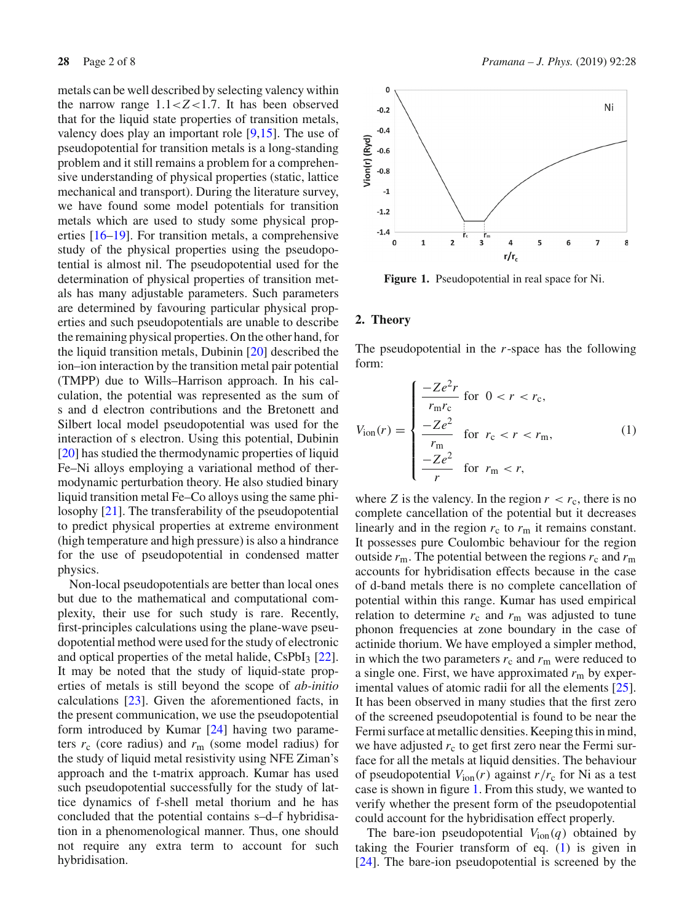metals can be well described by selecting valency within the narrow range  $1.1 < Z < 1.7$ . It has been observed that for the liquid state properties of transition metals, valency does play an important role [\[9](#page-6-3)[,15\]](#page-6-9). The use of pseudopotential for transition metals is a long-standing problem and it still remains a problem for a comprehensive understanding of physical properties (static, lattice mechanical and transport). During the literature survey, we have found some model potentials for transition metals which are used to study some physical properties [\[16](#page-7-0)[–19\]](#page-7-1). For transition metals, a comprehensive study of the physical properties using the pseudopotential is almost nil. The pseudopotential used for the determination of physical properties of transition metals has many adjustable parameters. Such parameters are determined by favouring particular physical properties and such pseudopotentials are unable to describe the remaining physical properties. On the other hand, for the liquid transition metals, Dubinin [\[20\]](#page-7-2) described the ion–ion interaction by the transition metal pair potential (TMPP) due to Wills–Harrison approach. In his calculation, the potential was represented as the sum of s and d electron contributions and the Bretonett and Silbert local model pseudopotential was used for the interaction of s electron. Using this potential, Dubinin [\[20](#page-7-2)] has studied the thermodynamic properties of liquid Fe–Ni alloys employing a variational method of thermodynamic perturbation theory. He also studied binary liquid transition metal Fe–Co alloys using the same philosophy [\[21](#page-7-3)]. The transferability of the pseudopotential to predict physical properties at extreme environment (high temperature and high pressure) is also a hindrance for the use of pseudopotential in condensed matter physics.

Non-local pseudopotentials are better than local ones but due to the mathematical and computational complexity, their use for such study is rare. Recently, first-principles calculations using the plane-wave pseudopotential method were used for the study of electronic and optical properties of the metal halide,  $CsPbI<sub>3</sub> [22]$  $CsPbI<sub>3</sub> [22]$  $CsPbI<sub>3</sub> [22]$ . It may be noted that the study of liquid-state properties of metals is still beyond the scope of *ab-initio* calculations [\[23\]](#page-7-5). Given the aforementioned facts, in the present communication, we use the pseudopotential form introduced by Kumar [\[24](#page-7-6)] having two parameters  $r_c$  (core radius) and  $r_m$  (some model radius) for the study of liquid metal resistivity using NFE Ziman's approach and the t-matrix approach. Kumar has used such pseudopotential successfully for the study of lattice dynamics of f-shell metal thorium and he has concluded that the potential contains s–d–f hybridisation in a phenomenological manner. Thus, one should not require any extra term to account for such hybridisation.



<span id="page-1-0"></span>**Figure 1.** Pseudopotential in real space for Ni.

#### <span id="page-1-2"></span>**2. Theory**

The pseudopotential in the *r*-space has the following form:

<span id="page-1-1"></span>
$$
V_{\text{ion}}(r) = \begin{cases} \frac{-Ze^2r}{r_{\text{m}}r_{\text{c}}} \text{ for } 0 < r < r_{\text{c}},\\ \frac{-Ze^2}{r_{\text{m}}} \text{ for } r_{\text{c}} < r < r_{\text{m}},\\ \frac{-Ze^2}{r} \text{ for } r_{\text{m}} < r, \end{cases}
$$
(1)

where *Z* is the valency. In the region  $r < r_c$ , there is no complete cancellation of the potential but it decreases linearly and in the region  $r_c$  to  $r_m$  it remains constant. It possesses pure Coulombic behaviour for the region outside  $r_{\rm m}$ . The potential between the regions  $r_{\rm c}$  and  $r_{\rm m}$ accounts for hybridisation effects because in the case of d-band metals there is no complete cancellation of potential within this range. Kumar has used empirical relation to determine  $r_c$  and  $r_m$  was adjusted to tune phonon frequencies at zone boundary in the case of actinide thorium. We have employed a simpler method, in which the two parameters  $r_c$  and  $r_m$  were reduced to a single one. First, we have approximated  $r<sub>m</sub>$  by experimental values of atomic radii for all the elements [\[25](#page-7-7)]. It has been observed in many studies that the first zero of the screened pseudopotential is found to be near the Fermi surface at metallic densities. Keeping this in mind, we have adjusted  $r_c$  to get first zero near the Fermi surface for all the metals at liquid densities. The behaviour of pseudopotential  $V_{\text{ion}}(r)$  against  $r/r_c$  for Ni as a test case is shown in figure [1.](#page-1-0) From this study, we wanted to verify whether the present form of the pseudopotential could account for the hybridisation effect properly.

The bare-ion pseudopotential  $V_{\text{ion}}(q)$  obtained by taking the Fourier transform of eq. [\(1\)](#page-1-1) is given in [\[24](#page-7-6)]. The bare-ion pseudopotential is screened by the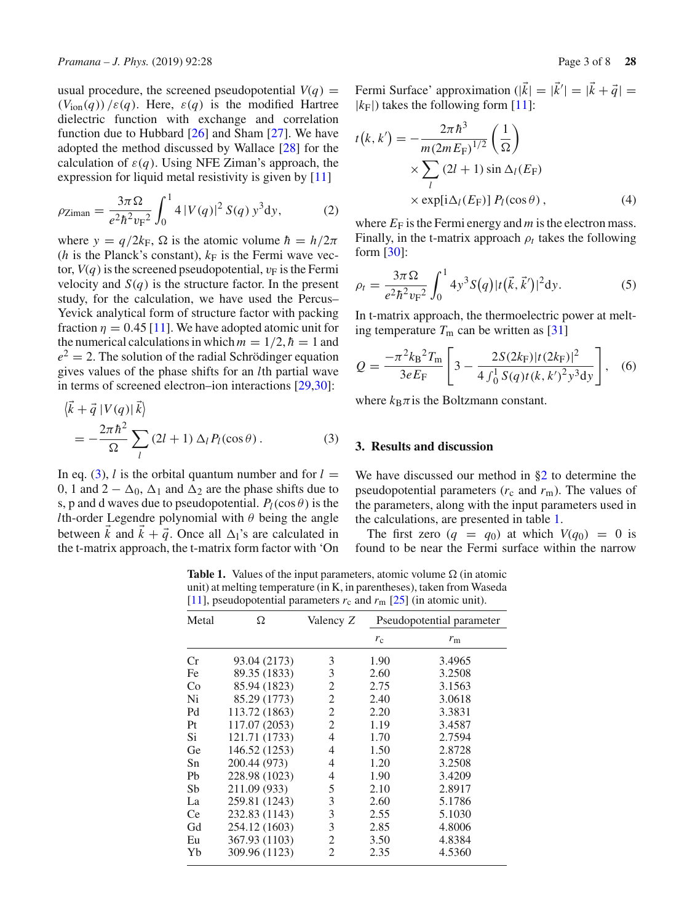usual procedure, the screened pseudopotential  $V(q)$  =  $(V_{\text{ion}}(q))$  / $\varepsilon(q)$ . Here,  $\varepsilon(q)$  is the modified Hartree dielectric function with exchange and correlation function due to Hubbard [\[26](#page-7-8)] and Sham [\[27](#page-7-9)]. We have adopted the method discussed by Wallace [\[28\]](#page-7-10) for the calculation of  $\varepsilon(q)$ . Using NFE Ziman's approach, the expression for liquid metal resistivity is given by [\[11\]](#page-6-5)

$$
\rho_{\text{Ziman}} = \frac{3\pi\Omega}{e^2\hbar^2 v_F^2} \int_0^1 4 |V(q)|^2 S(q) y^3 dy, \tag{2}
$$

where  $y = q/2k_F$ ,  $\Omega$  is the atomic volume  $\hbar = h/2\pi$ (*h* is the Planck's constant),  $k_F$  is the Fermi wave vector,  $V(q)$  is the screened pseudopotential,  $v_F$  is the Fermi velocity and  $S(q)$  is the structure factor. In the present study, for the calculation, we have used the Percus– Yevick analytical form of structure factor with packing fraction  $\eta = 0.45$  [\[11](#page-6-5)]. We have adopted atomic unit for the numerical calculations in which  $m = 1/2$ ,  $\hbar = 1$  and  $e^{2} = 2$ . The solution of the radial Schrödinger equation gives values of the phase shifts for an *l*th partial wave in terms of screened electron–ion interactions [\[29](#page-7-11)[,30](#page-7-12)]:

<span id="page-2-0"></span>
$$
\langle \vec{k} + \vec{q} | V(q) | \vec{k} \rangle
$$
  
= 
$$
-\frac{2\pi \hbar^2}{\Omega} \sum_{l} (2l+1) \Delta_l P_l(\cos \theta).
$$
 (3)

In eq. [\(3\)](#page-2-0), *l* is the orbital quantum number and for  $l =$ 0, 1 and  $2 - \Delta_0$ ,  $\Delta_1$  and  $\Delta_2$  are the phase shifts due to s, p and d waves due to pseudopotential.  $P_l(\cos \theta)$  is the *l*th-order Legendre polynomial with  $\theta$  being the angle between *k* and  $k + \vec{q}$ . Once all  $\Delta_1$ 's are calculated in the t-matrix approach, the t-matrix form factor with 'On Fermi Surface' approximation  $(|k| = |k'| = |k + \vec{q}|)$  $|k_F|$ ) takes the following form [\[11\]](#page-6-5):

<span id="page-2-2"></span>
$$
t(k, k') = -\frac{2\pi\hbar^3}{m(2mE_{\rm F})^{1/2}} \left(\frac{1}{\Omega}\right)
$$
  
 
$$
\times \sum_{l} (2l+1) \sin \Delta_l(E_{\rm F})
$$
  
 
$$
\times \exp[i\Delta_l(E_{\rm F})] P_l(\cos\theta), \qquad (4)
$$

where  $E_F$  is the Fermi energy and  $m$  is the electron mass. Finally, in the t-matrix approach  $\rho_t$  takes the following form [\[30](#page-7-12)]:

<span id="page-2-3"></span>
$$
\rho_t = \frac{3\pi\Omega}{e^2\hbar^2 v_F^2} \int_0^1 4y^3 S(q) |t(\vec{k}, \vec{k}')|^2 dy.
$$
 (5)

In t-matrix approach, the thermoelectric power at melting temperature  $T_m$  can be written as [\[31\]](#page-7-13)

<span id="page-2-4"></span>
$$
Q = \frac{-\pi^2 k_B^2 T_m}{3eE_F} \left[ 3 - \frac{2S(2k_F)|t(2k_F)|^2}{4 \int_0^1 S(q)t(k, k')^2 y^3 dy} \right], \quad (6)
$$

where  $k_B \pi$  is the Boltzmann constant.

## **3. Results and discussion**

We have discussed our method in [§2](#page-1-2) to determine the pseudopotential parameters  $(r_c$  and  $r_m$ ). The values of the parameters, along with the input parameters used in the calculations, are presented in table [1.](#page-2-1)

The first zero  $(q = q_0)$  at which  $V(q_0) = 0$  is found to be near the Fermi surface within the narrow

<span id="page-2-1"></span>**Table 1.** Values of the input parameters, atomic volume  $\Omega$  (in atomic unit) at melting temperature (in K, in parentheses), taken from Waseda [\[11\]](#page-6-5), pseudopotential parameters  $r_c$  and  $r_m$  [\[25](#page-7-7)] (in atomic unit).

| Metal | Ω             | Valency Z      |             | Pseudopotential parameter |
|-------|---------------|----------------|-------------|---------------------------|
|       |               |                | $r_{\rm c}$ | $r_{\rm m}$               |
| Cr    | 93.04 (2173)  | 3              | 1.90        | 3.4965                    |
| Fe    | 89.35 (1833)  | 3              | 2.60        | 3.2508                    |
| Co    | 85.94 (1823)  | 2              | 2.75        | 3.1563                    |
| Ni    | 85.29 (1773)  | 2              | 2.40        | 3.0618                    |
| Pd    | 113.72 (1863) | $\overline{2}$ | 2.20        | 3.3831                    |
| Pt    | 117.07 (2053) | $\overline{c}$ | 1.19        | 3.4587                    |
| Si    | 121.71 (1733) | 4              | 1.70        | 2.7594                    |
| Ge    | 146.52 (1253) | 4              | 1.50        | 2.8728                    |
| Sn    | 200.44 (973)  | 4              | 1.20        | 3.2508                    |
| Pb    | 228.98 (1023) | 4              | 1.90        | 3.4209                    |
| Sb    | 211.09 (933)  | 5              | 2.10        | 2.8917                    |
| La    | 259.81 (1243) | 3              | 2.60        | 5.1786                    |
| Ce    | 232.83 (1143) | 3              | 2.55        | 5.1030                    |
| Gd    | 254.12 (1603) | 3              | 2.85        | 4.8006                    |
| Eu    | 367.93 (1103) | 2              | 3.50        | 4.8384                    |
| Yb    | 309.96 (1123) | $\mathfrak{D}$ | 2.35        | 4.5360                    |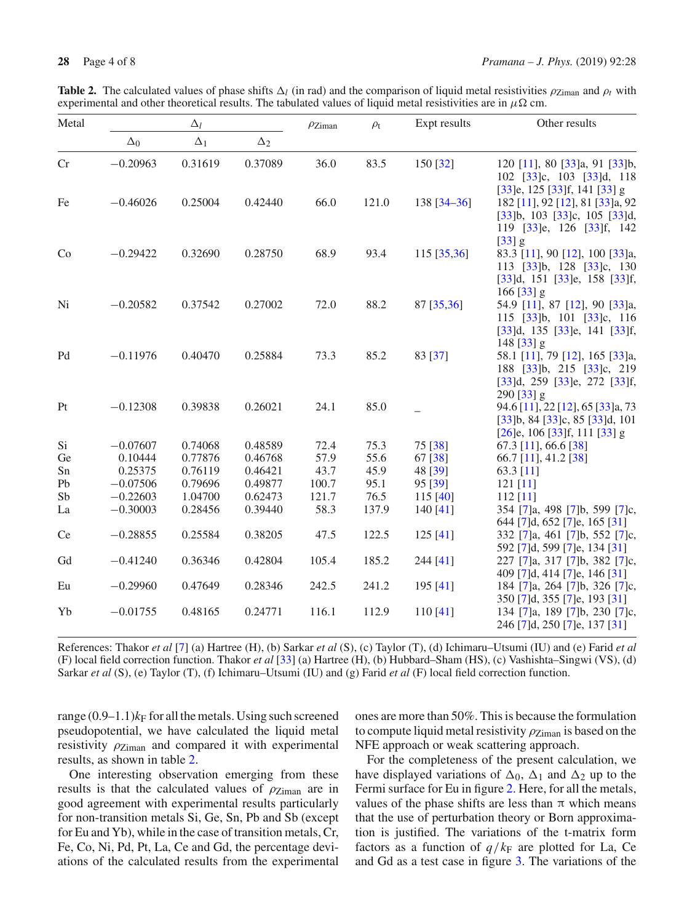<span id="page-3-0"></span>

|  | <b>Table 2.</b> The calculated values of phase shifts $\Delta_l$ (in rad) and the comparison of liquid metal resistivities $\rho_{Ziman}$ and $\rho_t$ with |  |  |  |  |  |
|--|-------------------------------------------------------------------------------------------------------------------------------------------------------------|--|--|--|--|--|
|  | experimental and other theoretical results. The tabulated values of liquid metal resistivities are in $\mu\Omega$ cm.                                       |  |  |  |  |  |

| Metal |            | $\Delta_l$ |            | $\rho$ Ziman | $\rho_{\rm t}$ | Expt results    | Other results                                                                                                                                 |
|-------|------------|------------|------------|--------------|----------------|-----------------|-----------------------------------------------------------------------------------------------------------------------------------------------|
|       | $\Delta_0$ | $\Delta_1$ | $\Delta_2$ |              |                |                 |                                                                                                                                               |
| Cr    | $-0.20963$ | 0.31619    | 0.37089    | 36.0         | 83.5           | 150 [32]        | 120 [11], 80 [33]a, 91 [33]b,<br>102 [33]c, 103 [33]d, 118                                                                                    |
| Fe    | $-0.46026$ | 0.25004    | 0.42440    | 66.0         | 121.0          | $138 [34 - 36]$ | $[33]$ e, 125 $[33]$ f, 141 $[33]$ g<br>182 [11], 92 [12], 81 [33]a, 92<br>$[33]b$ , 103 $[33]c$ , 105 $[33]d$ ,<br>119 [33]e, 126 [33]f, 142 |
| Co    | $-0.29422$ | 0.32690    | 0.28750    | 68.9         | 93.4           | $115$ [35,36]   | $[33]$ g<br>83.3 [11], 90 [12], 100 [33]a,<br>113 (33)b, 128 (33)c, 130<br>$[33]$ d, 151 $[33]$ e, 158 $[33]$ f,<br>$166$ [33] g              |
| Ni    | $-0.20582$ | 0.37542    | 0.27002    | 72.0         | 88.2           | 87 [35,36]      | 54.9 [11], 87 [12], 90 [33]a,<br>115 [33]b, 101 [33]c, 116<br>$[33]$ d, 135 $[33]$ e, 141 $[33]$ f,<br>$148$ [33] g                           |
| Pd    | $-0.11976$ | 0.40470    | 0.25884    | 73.3         | 85.2           | 83 [37]         | 58.1 [11], 79 [12], 165 [33]a,<br>188 [33]b, 215 [33]c, 219<br>$[33]$ d, 259 $[33]$ e, 272 $[33]$ f,<br>$290$ [33] g                          |
| Pt    | $-0.12308$ | 0.39838    | 0.26021    | 24.1         | 85.0           |                 | 94.6 [11], 22 [12], 65 [33]a, 73<br>$[33]b$ , 84 $[33]c$ , 85 $[33]d$ , 101<br>$[26]$ e, 106 $[33]$ f, 111 $[33]$ g                           |
| Si    | $-0.07607$ | 0.74068    | 0.48589    | 72.4         | 75.3           | 75 [38]         | 67.3 [11], 66.6 [38]                                                                                                                          |
| Ge    | 0.10444    | 0.77876    | 0.46768    | 57.9         | 55.6           | 67 [38]         | 66.7 [11], 41.2 [38]                                                                                                                          |
| Sn    | 0.25375    | 0.76119    | 0.46421    | 43.7         | 45.9           | 48 [39]         | 63.3 $[11]$                                                                                                                                   |
| Pb    | $-0.07506$ | 0.79696    | 0.49877    | 100.7        | 95.1           | 95 [39]         | $121$ [11]                                                                                                                                    |
| Sb    | $-0.22603$ | 1.04700    | 0.62473    | 121.7        | 76.5           | 115[40]         | $112$ [11]                                                                                                                                    |
| La    | $-0.30003$ | 0.28456    | 0.39440    | 58.3         | 137.9          | 140 $[41]$      | 354 [7]a, 498 [7]b, 599 [7]c,<br>644 [7]d, 652 [7]e, 165 [31]                                                                                 |
| Ce    | $-0.28855$ | 0.25584    | 0.38205    | 47.5         | 122.5          | 125[41]         | 332 [7]a, 461 [7]b, 552 [7]c,<br>592 [7]d, 599 [7]e, 134 [31]                                                                                 |
| Gd    | $-0.41240$ | 0.36346    | 0.42804    | 105.4        | 185.2          | 244 [41]        | 227 [7]a, 317 [7]b, 382 [7]c,<br>409 [7]d, 414 [7]e, 146 [31]                                                                                 |
| Eu    | $-0.29960$ | 0.47649    | 0.28346    | 242.5        | 241.2          | 195 [41]        | 184 [7]a, 264 [7]b, 326 [7]c,<br>350 [7]d, 355 [7]e, 193 [31]                                                                                 |
| Yb    | $-0.01755$ | 0.48165    | 0.24771    | 116.1        | 112.9          | 110[41]         | 134 [7]a, 189 [7]b, 230 [7]c,<br>246 [7]d, 250 [7]e, 137 [31]                                                                                 |

References: Thakor *et al* [\[7](#page-6-10)] (a) Hartree (H), (b) Sarkar *et al* (S), (c) Taylor (T), (d) Ichimaru–Utsumi (IU) and (e) Farid *et al* (F) local field correction function. Thakor *et al* [\[33](#page-7-15)] (a) Hartree (H), (b) Hubbard–Sham (HS), (c) Vashishta–Singwi (VS), (d) Sarkar *et al* (S), (e) Taylor (T), (f) Ichimaru–Utsumi (IU) and (g) Farid *et al* (F) local field correction function.

range  $(0.9-1.1)$ <sub>*kF*</sub> for all the metals. Using such screened pseudopotential, we have calculated the liquid metal resistivity  $\rho_{\text{Ziman}}$  and compared it with experimental results, as shown in table [2.](#page-3-0)

One interesting observation emerging from these results is that the calculated values of  $\rho_{Ziman}$  are in good agreement with experimental results particularly for non-transition metals Si, Ge, Sn, Pb and Sb (except for Eu and Yb), while in the case of transition metals, Cr, Fe, Co, Ni, Pd, Pt, La, Ce and Gd, the percentage deviations of the calculated results from the experimental ones are more than 50%. This is because the formulation to compute liquid metal resistivity  $\rho_{\text{Ziman}}$  is based on the NFE approach or weak scattering approach.

For the completeness of the present calculation, we have displayed variations of  $\Delta_0$ ,  $\Delta_1$  and  $\Delta_2$  up to the Fermi surface for Eu in figure [2.](#page-4-0) Here, for all the metals, values of the phase shifts are less than  $\pi$  which means that the use of perturbation theory or Born approximation is justified. The variations of the t-matrix form factors as a function of  $q/k_F$  are plotted for La, Ce and Gd as a test case in figure [3.](#page-4-1) The variations of the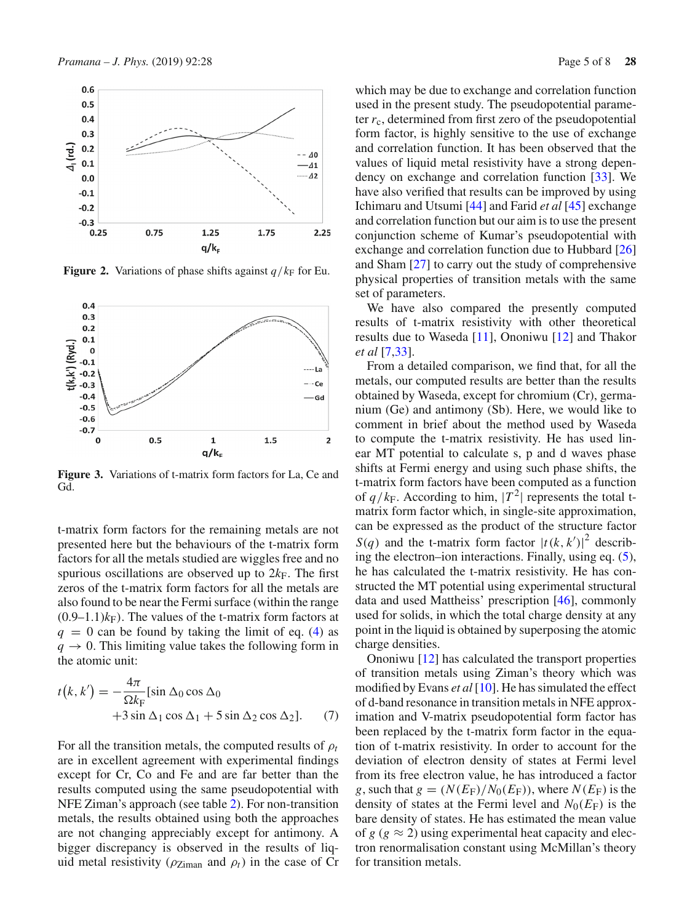

<span id="page-4-0"></span>**Figure 2.** Variations of phase shifts against  $q/k_F$  for Eu.



<span id="page-4-1"></span>**Figure 3.** Variations of t-matrix form factors for La, Ce and Gd.

t-matrix form factors for the remaining metals are not presented here but the behaviours of the t-matrix form factors for all the metals studied are wiggles free and no spurious oscillations are observed up to  $2k_F$ . The first zeros of the t-matrix form factors for all the metals are also found to be near the Fermi surface (within the range  $(0.9-1.1)k_F$ ). The values of the t-matrix form factors at  $q = 0$  can be found by taking the limit of eq. [\(4\)](#page-2-2) as  $q \rightarrow 0$ . This limiting value takes the following form in the atomic unit:

$$
t(k, k') = -\frac{4\pi}{\Omega k_{\rm F}} [\sin \Delta_0 \cos \Delta_0 + 3 \sin \Delta_1 \cos \Delta_1 + 5 \sin \Delta_2 \cos \Delta_2].
$$
 (7)

For all the transition metals, the computed results of ρ*<sup>t</sup>* are in excellent agreement with experimental findings except for Cr, Co and Fe and are far better than the results computed using the same pseudopotential with NFE Ziman's approach (see table [2\)](#page-3-0). For non-transition metals, the results obtained using both the approaches are not changing appreciably except for antimony. A bigger discrepancy is observed in the results of liquid metal resistivity ( $\rho_{Ziman}$  and  $\rho_t$ ) in the case of Cr which may be due to exchange and correlation function used in the present study. The pseudopotential parameter  $r_c$ , determined from first zero of the pseudopotential form factor, is highly sensitive to the use of exchange and correlation function. It has been observed that the values of liquid metal resistivity have a strong dependency on exchange and correlation function [\[33\]](#page-7-15). We have also verified that results can be improved by using Ichimaru and Utsumi [\[44\]](#page-7-24) and Farid *et al* [\[45](#page-7-25)] exchange and correlation function but our aim is to use the present conjunction scheme of Kumar's pseudopotential with exchange and correlation function due to Hubbard [\[26\]](#page-7-8) and Sham [\[27](#page-7-9)] to carry out the study of comprehensive physical properties of transition metals with the same set of parameters.

We have also compared the presently computed results of t-matrix resistivity with other theoretical results due to Waseda [\[11](#page-6-5)], Ononiwu [\[12\]](#page-6-6) and Thakor *et al* [\[7](#page-6-10)[,33](#page-7-15)].

From a detailed comparison, we find that, for all the metals, our computed results are better than the results obtained by Waseda, except for chromium (Cr), germanium (Ge) and antimony (Sb). Here, we would like to comment in brief about the method used by Waseda to compute the t-matrix resistivity. He has used linear MT potential to calculate s, p and d waves phase shifts at Fermi energy and using such phase shifts, the t-matrix form factors have been computed as a function of  $q/k_F$ . According to him,  $|T^2|$  represents the total tmatrix form factor which, in single-site approximation, can be expressed as the product of the structure factor *S*(*q*) and the t-matrix form factor  $|t(k, k')|^2$  describing the electron–ion interactions. Finally, using eq. [\(5\)](#page-2-3), he has calculated the t-matrix resistivity. He has constructed the MT potential using experimental structural data and used Mattheiss' prescription [\[46\]](#page-7-26), commonly used for solids, in which the total charge density at any point in the liquid is obtained by superposing the atomic charge densities.

Ononiwu [\[12\]](#page-6-6) has calculated the transport properties of transition metals using Ziman's theory which was modified by Evans *et al* [\[10\]](#page-6-4). He has simulated the effect of d-band resonance in transition metals in NFE approximation and V-matrix pseudopotential form factor has been replaced by the t-matrix form factor in the equation of t-matrix resistivity. In order to account for the deviation of electron density of states at Fermi level from its free electron value, he has introduced a factor *g*, such that  $g = (N(E_F)/N_0(E_F))$ , where  $N(E_F)$  is the density of states at the Fermi level and  $N_0(E_F)$  is the bare density of states. He has estimated the mean value of  $g$  ( $g \approx 2$ ) using experimental heat capacity and electron renormalisation constant using McMillan's theory for transition metals.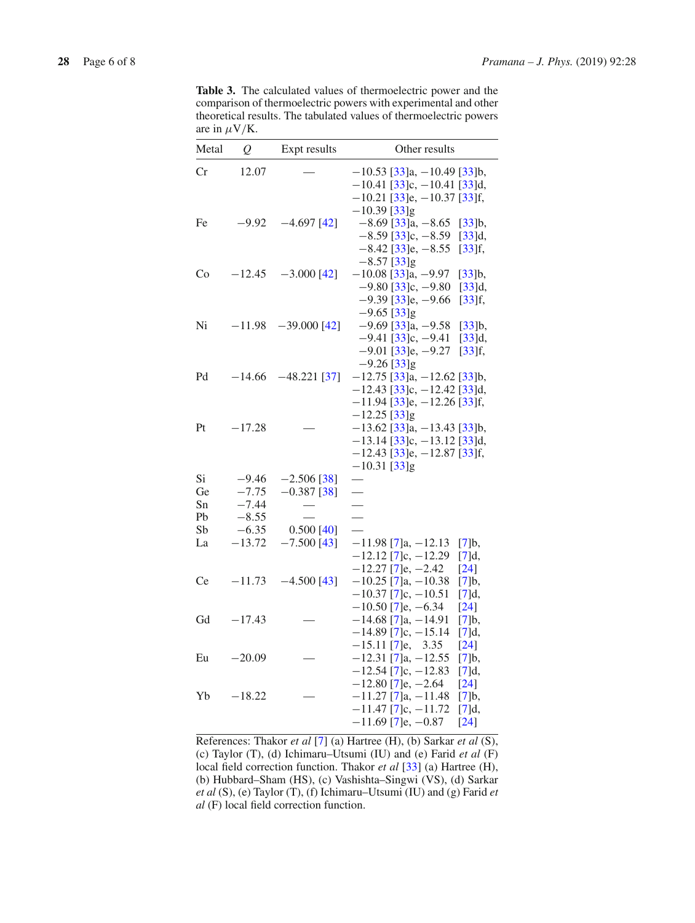<span id="page-5-0"></span>**Table 3.** The calculated values of thermoelectric power and the comparison of thermoelectric powers with experimental and other theoretical results. The tabulated values of thermoelectric powers are in  $\mu$ V/K.

| Metal                            | $\overline{Q}$                                                  | Expt results                                                    | Other results                                                                                                                                |
|----------------------------------|-----------------------------------------------------------------|-----------------------------------------------------------------|----------------------------------------------------------------------------------------------------------------------------------------------|
| Cr                               | 12.07                                                           |                                                                 | $-10.53$ [33]a, $-10.49$ [33]b,<br>$-10.41$ [33]c, $-10.41$ [33]d,<br>$-10.21$ [33]e, $-10.37$ [33]f,                                        |
| Fe                               | $-9.92$                                                         | $-4.697$ [42]                                                   | $-10.39$ [33]g<br>$-8.69$ [33]a, $-8.65$<br>[33]b,<br>$-8.59$ [33]c, $-8.59$<br>[33]d,<br>$-8.42$ [33]e, $-8.55$<br>$[33]$ f,                |
| Co                               | $-12.45$                                                        | $-3.000$ [42]                                                   | $-8.57$ [33]g<br>$-10.08$ [33]a, $-9.97$<br>[33]b,<br>$-9.80$ [33]c, $-9.80$<br>$[33]d,$<br>$-9.39$ [33]e, $-9.66$<br>$[33]$ f,              |
| Ni                               | $-11.98$                                                        | $-39.000$ [42]                                                  | $-9.65$ [33]g<br>$-9.69$ [33]a, $-9.58$<br>[33]b,<br>$-9.41$ [33]c, $-9.41$<br>[33]d,<br>$-9.01$ [33]e, $-9.27$<br>$[33]$ f,                 |
| Pd                               | $-14.66$                                                        | $-48.221$ [37]                                                  | $-9.26$ [33]g<br>$-12.75$ [33]a, $-12.62$ [33]b,<br>$-12.43$ [33]c, $-12.42$ [33]d,<br>$-11.94$ [33]e, $-12.26$ [33]f,                       |
| Pt                               | $-17.28$                                                        |                                                                 | $-12.25$ [33]g<br>$-13.62$ [33]a, $-13.43$ [33]b,<br>$-13.14$ [33]c, $-13.12$ [33]d,<br>$-12.43$ [33]e, $-12.87$ [33]f,                      |
| Si<br>Ge<br>Sn<br>Pb<br>Sb<br>La | $-9.46$<br>$-7.75$<br>$-7.44$<br>$-8.55$<br>$-6.35$<br>$-13.72$ | $-2.506$ [38]<br>$-0.387$ [38]<br>$0.500$ [40]<br>$-7.500$ [43] | $-10.31$ [33]g<br>$\overline{\phantom{0}}$<br>$\overline{\phantom{0}}$<br>$-11.98$ [7]a, $-12.13$<br>[7]b,                                   |
| Ce                               | $-11.73$                                                        | $-4.500$ [43]                                                   | $-12.12$ [7]c, $-12.29$<br>[7]d,<br>$-12.27$ [7]e, $-2.42$<br>$[24]$<br>$-10.25$ [7]a, $-10.38$<br>[7]b,<br>$-10.37$ [7]c, $-10.51$<br>[7]d, |
| Gd                               | $-17.43$                                                        |                                                                 | $-10.50$ [7]e, $-6.34$<br>$[24]$<br>$-14.68$ [7]a, $-14.91$<br>[7]b,<br>$-14.89$ [7]c, $-15.14$<br>[7]d,                                     |
| Eu                               | $-20.09$                                                        |                                                                 | $-15.11$ [7]e,<br>$[24]$<br>3.35<br>$-12.31$ [7]a, $-12.55$<br>[7]b,<br>$-12.54$ [7]c, $-12.83$<br>[7]d,                                     |
| Yb                               | $-18.22$                                                        |                                                                 | $-12.80$ [7]e, $-2.64$<br>$[24]$<br>$-11.27$ [7]a, $-11.48$<br>[7]b,<br>$-11.47$ [7]c, $-11.72$<br>[7]d,<br>$-11.69$ [7]e, $-0.87$<br>$[24]$ |

References: Thakor *et al* [\[7\]](#page-6-10) (a) Hartree (H), (b) Sarkar *et al* (S), (c) Taylor (T), (d) Ichimaru–Utsumi (IU) and (e) Farid *et al* (F) local field correction function. Thakor *et al* [\[33\]](#page-7-15) (a) Hartree (H), (b) Hubbard–Sham (HS), (c) Vashishta–Singwi (VS), (d) Sarkar *et al* (S), (e) Taylor (T), (f) Ichimaru–Utsumi (IU) and (g) Farid *et al* (F) local field correction function.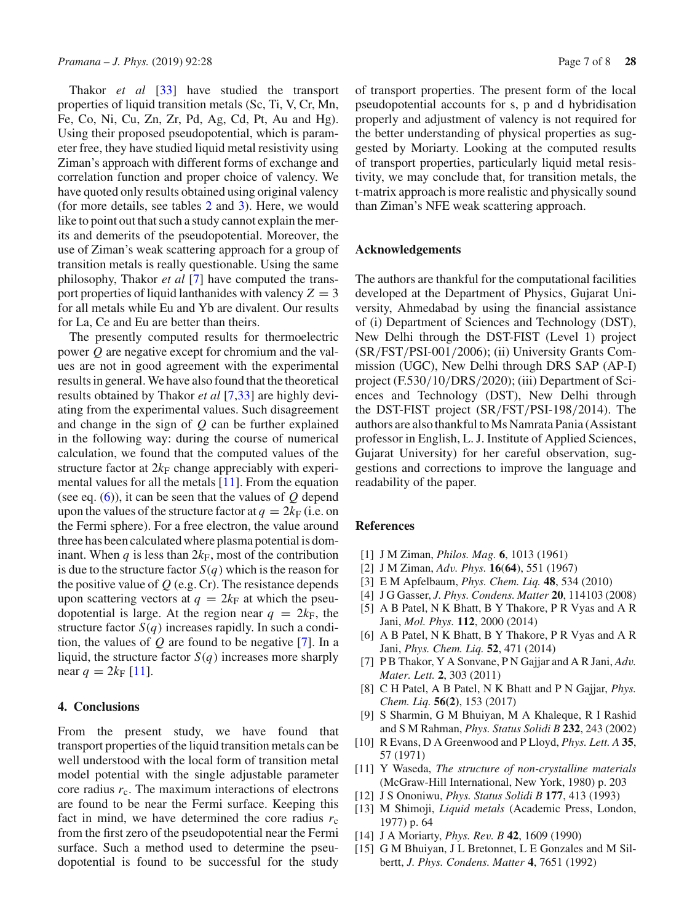Thakor *et al* [\[33\]](#page-7-15) have studied the transport properties of liquid transition metals (Sc, Ti, V, Cr, Mn, Fe, Co, Ni, Cu, Zn, Zr, Pd, Ag, Cd, Pt, Au and Hg). Using their proposed pseudopotential, which is parameter free, they have studied liquid metal resistivity using Ziman's approach with different forms of exchange and correlation function and proper choice of valency. We have quoted only results obtained using original valency (for more details, see tables [2](#page-3-0) and [3\)](#page-5-0). Here, we would like to point out that such a study cannot explain the merits and demerits of the pseudopotential. Moreover, the use of Ziman's weak scattering approach for a group of transition metals is really questionable. Using the same philosophy, Thakor *et al* [\[7](#page-6-10)] have computed the transport properties of liquid lanthanides with valency  $Z = 3$ for all metals while Eu and Yb are divalent. Our results for La, Ce and Eu are better than theirs.

The presently computed results for thermoelectric power *Q* are negative except for chromium and the values are not in good agreement with the experimental results in general. We have also found that the theoretical results obtained by Thakor *et al* [\[7](#page-6-10)[,33\]](#page-7-15) are highly deviating from the experimental values. Such disagreement and change in the sign of *Q* can be further explained in the following way: during the course of numerical calculation, we found that the computed values of the structure factor at  $2k_F$  change appreciably with experimental values for all the metals [\[11\]](#page-6-5). From the equation (see eq. [\(6\)](#page-2-4)), it can be seen that the values of *Q* depend upon the values of the structure factor at  $q = 2k_F$  (i.e. on the Fermi sphere). For a free electron, the value around three has been calculated where plasma potential is dominant. When  $q$  is less than  $2k_F$ , most of the contribution is due to the structure factor  $S(q)$  which is the reason for the positive value of  $Q$  (e.g. Cr). The resistance depends upon scattering vectors at  $q = 2k<sub>F</sub>$  at which the pseudopotential is large. At the region near  $q = 2k_F$ , the structure factor  $S(q)$  increases rapidly. In such a condition, the values of *Q* are found to be negative [\[7\]](#page-6-10). In a liquid, the structure factor  $S(q)$  increases more sharply near  $q = 2k_F [11]$  $q = 2k_F [11]$  $q = 2k_F [11]$ .

## **4. Conclusions**

From the present study, we have found that transport properties of the liquid transition metals can be well understood with the local form of transition metal model potential with the single adjustable parameter core radius  $r_c$ . The maximum interactions of electrons are found to be near the Fermi surface. Keeping this fact in mind, we have determined the core radius  $r_c$ from the first zero of the pseudopotential near the Fermi surface. Such a method used to determine the pseudopotential is found to be successful for the study of transport properties. The present form of the local pseudopotential accounts for s, p and d hybridisation properly and adjustment of valency is not required for the better understanding of physical properties as suggested by Moriarty. Looking at the computed results of transport properties, particularly liquid metal resistivity, we may conclude that, for transition metals, the t-matrix approach is more realistic and physically sound than Ziman's NFE weak scattering approach.

## **Acknowledgements**

The authors are thankful for the computational facilities developed at the Department of Physics, Gujarat University, Ahmedabad by using the financial assistance of (i) Department of Sciences and Technology (DST), New Delhi through the DST-FIST (Level 1) project (SR/FST/PSI-001/2006); (ii) University Grants Commission (UGC), New Delhi through DRS SAP (AP-I) project (F.530/10/DRS/2020); (iii) Department of Sciences and Technology (DST), New Delhi through the DST-FIST project (SR/FST/PSI-198/2014). The authors are also thankful to Ms Namrata Pania (Assistant professor in English, L. J. Institute of Applied Sciences, Gujarat University) for her careful observation, suggestions and corrections to improve the language and readability of the paper.

## **References**

- <span id="page-6-0"></span>[1] J M Ziman, *Philos. Mag.* **6**, 1013 (1961)
- [2] J M Ziman, *Adv. Phys.* **16**(**64**), 551 (1967)
- [3] E M Apfelbaum, *Phys. Chem. Liq.* **48**, 534 (2010)
- <span id="page-6-1"></span>[4] J G Gasser, *J. Phys. Condens. Matter* **20**, 114103 (2008)
- <span id="page-6-2"></span>[5] A B Patel, N K Bhatt, B Y Thakore, P R Vyas and A R Jani, *Mol. Phys.* **112**, 2000 (2014)
- [6] A B Patel, N K Bhatt, B Y Thakore, P R Vyas and A R Jani, *Phys. Chem. Liq.* **52**, 471 (2014)
- <span id="page-6-10"></span>[7] P B Thakor, Y A Sonvane, P N Gajjar and A R Jani, *Adv. Mater. Lett.* **2**, 303 (2011)
- [8] C H Patel, A B Patel, N K Bhatt and P N Gajjar, *Phys. Chem. Liq.* **56(2)**, 153 (2017)
- <span id="page-6-3"></span>[9] S Sharmin, G M Bhuiyan, M A Khaleque, R I Rashid and S M Rahman, *Phys. Status Solidi B* **232**, 243 (2002)
- <span id="page-6-4"></span>[10] R Evans, D A Greenwood and P Lloyd, *Phys. Lett. A* **35**, 57 (1971)
- <span id="page-6-5"></span>[11] Y Waseda, *The structure of non-crystalline materials* (McGraw-Hill International, New York, 1980) p. 203
- <span id="page-6-6"></span>[12] J S Ononiwu, *Phys. Status Solidi B* **177**, 413 (1993)
- <span id="page-6-7"></span>[13] M Shimoji, *Liquid metals* (Academic Press, London, 1977) p. 64
- <span id="page-6-8"></span>[14] J A Moriarty, *Phys. Rev. B* **42**, 1609 (1990)
- <span id="page-6-9"></span>[15] G M Bhuiyan, J L Bretonnet, L E Gonzales and M Silbertt, *J. Phys. Condens. Matter* **4**, 7651 (1992)